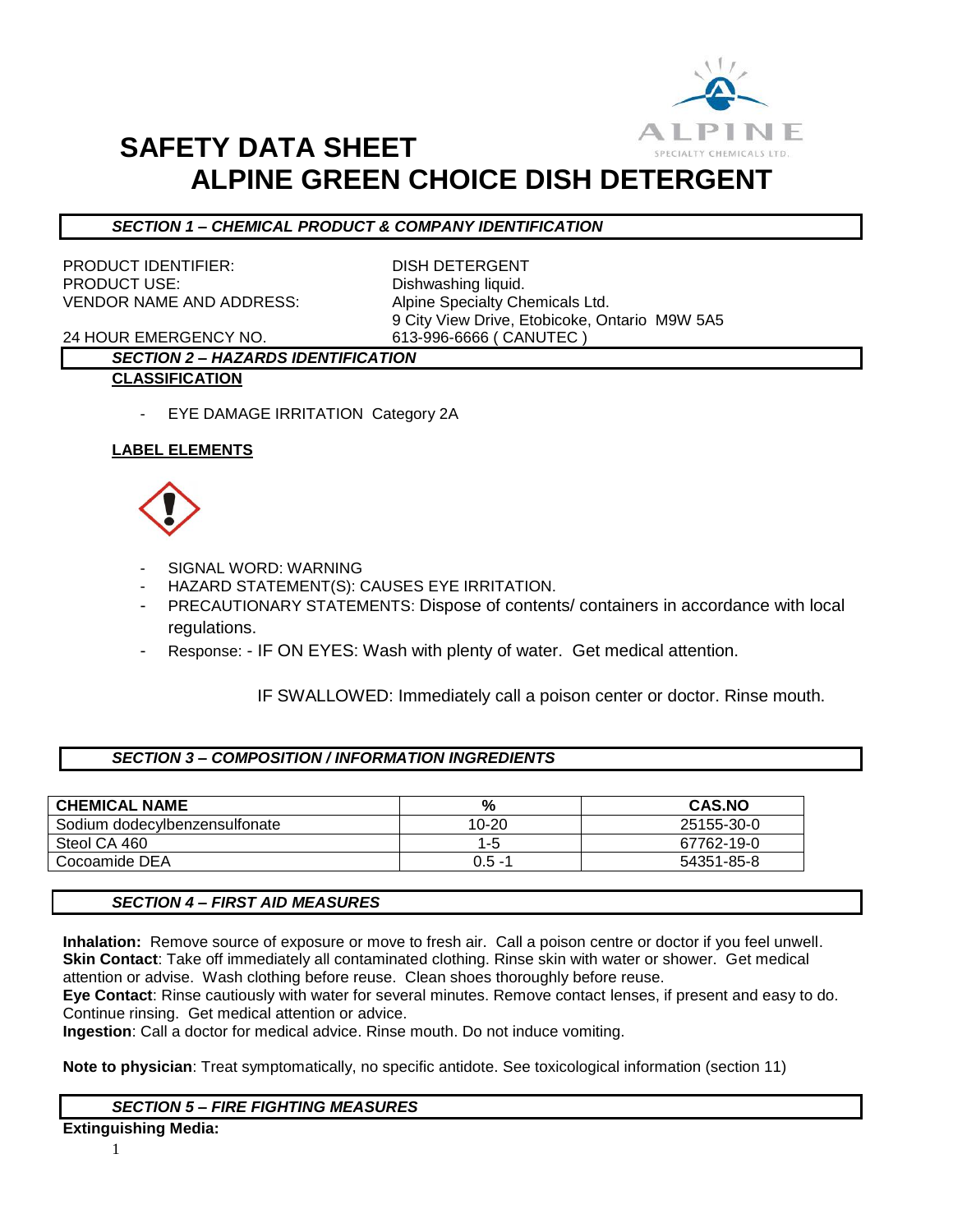

## **SAFETY DATA SHEET ALPINE GREEN CHOICE DISH DETERGENT**

## *SECTION 1 – CHEMICAL PRODUCT & COMPANY IDENTIFICATION*

PRODUCT IDENTIFIER: DISH DETERGENT PRODUCT USE: Dishwashing liquid. VENDOR NAME AND ADDRESS: Alpine Specialty Chemicals Ltd.

9 City View Drive, Etobicoke, Ontario M9W 5A5

24 HOUR EMERGENCY NO. 613-996-6666 ( CANUTEC )

## *SECTION 2 – HAZARDS IDENTIFICATION* **CLASSIFICATION**

- EYE DAMAGE IRRITATION Category 2A

## **LABEL ELEMENTS**



- SIGNAL WORD: WARNING
- HAZARD STATEMENT(S): CAUSES EYE IRRITATION.
- PRECAUTIONARY STATEMENTS: Dispose of contents/ containers in accordance with local regulations.
- Response: IF ON EYES: Wash with plenty of water. Get medical attention.

IF SWALLOWED: Immediately call a poison center or doctor. Rinse mouth.

## *SECTION 3 – COMPOSITION / INFORMATION INGREDIENTS*

| <b>CHEMICAL NAME</b>          | %         | <b>CAS.NO</b> |
|-------------------------------|-----------|---------------|
| Sodium dodecylbenzensulfonate | 10-20     | 25155-30-0    |
| Steol CA 460                  | 1-5       | 67762-19-0    |
| Cocoamide DEA                 | $0.5 - 1$ | 54351-85-8    |

## *SECTION 4 – FIRST AID MEASURES*

**Inhalation:** Remove source of exposure or move to fresh air. Call a poison centre or doctor if you feel unwell. **Skin Contact**: Take off immediately all contaminated clothing. Rinse skin with water or shower. Get medical attention or advise. Wash clothing before reuse. Clean shoes thoroughly before reuse.

**Eye Contact**: Rinse cautiously with water for several minutes. Remove contact lenses, if present and easy to do. Continue rinsing. Get medical attention or advice.

**Ingestion**: Call a doctor for medical advice. Rinse mouth. Do not induce vomiting.

**Note to physician**: Treat symptomatically, no specific antidote. See toxicological information (section 11)

## *SECTION 5 – FIRE FIGHTING MEASURES*

**Extinguishing Media:**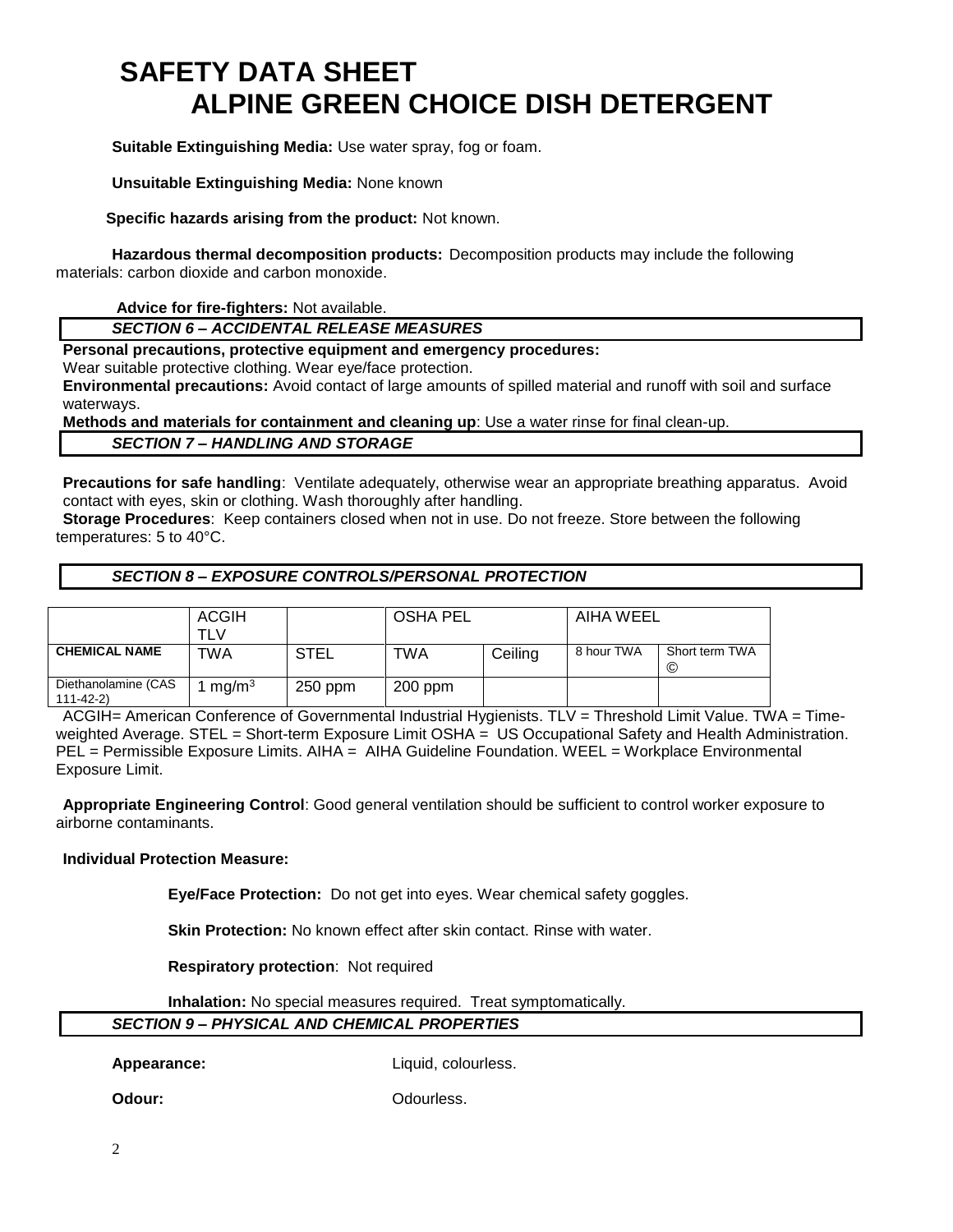# **SAFETY DATA SHEET ALPINE GREEN CHOICE DISH DETERGENT**

**Suitable Extinguishing Media:** Use water spray, fog or foam.

**Unsuitable Extinguishing Media:** None known

 **Specific hazards arising from the product:** Not known.

**Hazardous thermal decomposition products:** Decomposition products may include the following materials: carbon dioxide and carbon monoxide.

**Advice for fire-fighters:** Not available.

*SECTION 6 – ACCIDENTAL RELEASE MEASURES*

**Personal precautions, protective equipment and emergency procedures:**

Wear suitable protective clothing. Wear eye/face protection.

**Environmental precautions:** Avoid contact of large amounts of spilled material and runoff with soil and surface waterways.

**Methods and materials for containment and cleaning up**: Use a water rinse for final clean-up.

*SECTION 7 – HANDLING AND STORAGE*

**Precautions for safe handling**: Ventilate adequately, otherwise wear an appropriate breathing apparatus. Avoid contact with eyes, skin or clothing. Wash thoroughly after handling.

**Storage Procedures**: Keep containers closed when not in use. Do not freeze. Store between the following temperatures: 5 to 40°C.

## *SECTION 8 – EXPOSURE CONTROLS/PERSONAL PROTECTION*

|                                  | ACGIH             |             | <b>OSHA PEL</b> |         | AIHA WEEL  |                     |
|----------------------------------|-------------------|-------------|-----------------|---------|------------|---------------------|
|                                  |                   |             |                 |         |            |                     |
|                                  | TLV               |             |                 |         |            |                     |
| <b>CHEMICAL NAME</b>             | TWA               | <b>STEL</b> | TWA             | Ceiling | 8 hour TWA | Short term TWA<br>© |
| Diethanolamine (CAS<br>111-42-2) | mg/m <sup>3</sup> | $250$ ppm   | $200$ ppm       |         |            |                     |

ACGIH= American Conference of Governmental Industrial Hygienists. TLV = Threshold Limit Value. TWA = Timeweighted Average. STEL = Short-term Exposure Limit OSHA = US Occupational Safety and Health Administration. PEL = Permissible Exposure Limits. AIHA = AIHA Guideline Foundation. WEEL = Workplace Environmental Exposure Limit.

**Appropriate Engineering Control**: Good general ventilation should be sufficient to control worker exposure to airborne contaminants.

#### **Individual Protection Measure:**

**Eye/Face Protection:** Do not get into eyes. Wear chemical safety goggles.

**Skin Protection:** No known effect after skin contact. Rinse with water.

**Respiratory protection**: Not required

**Inhalation:** No special measures required. Treat symptomatically.

## *SECTION 9 – PHYSICAL AND CHEMICAL PROPERTIES*

Appearance: Liquid, colourless.

**Odour:** Odourless.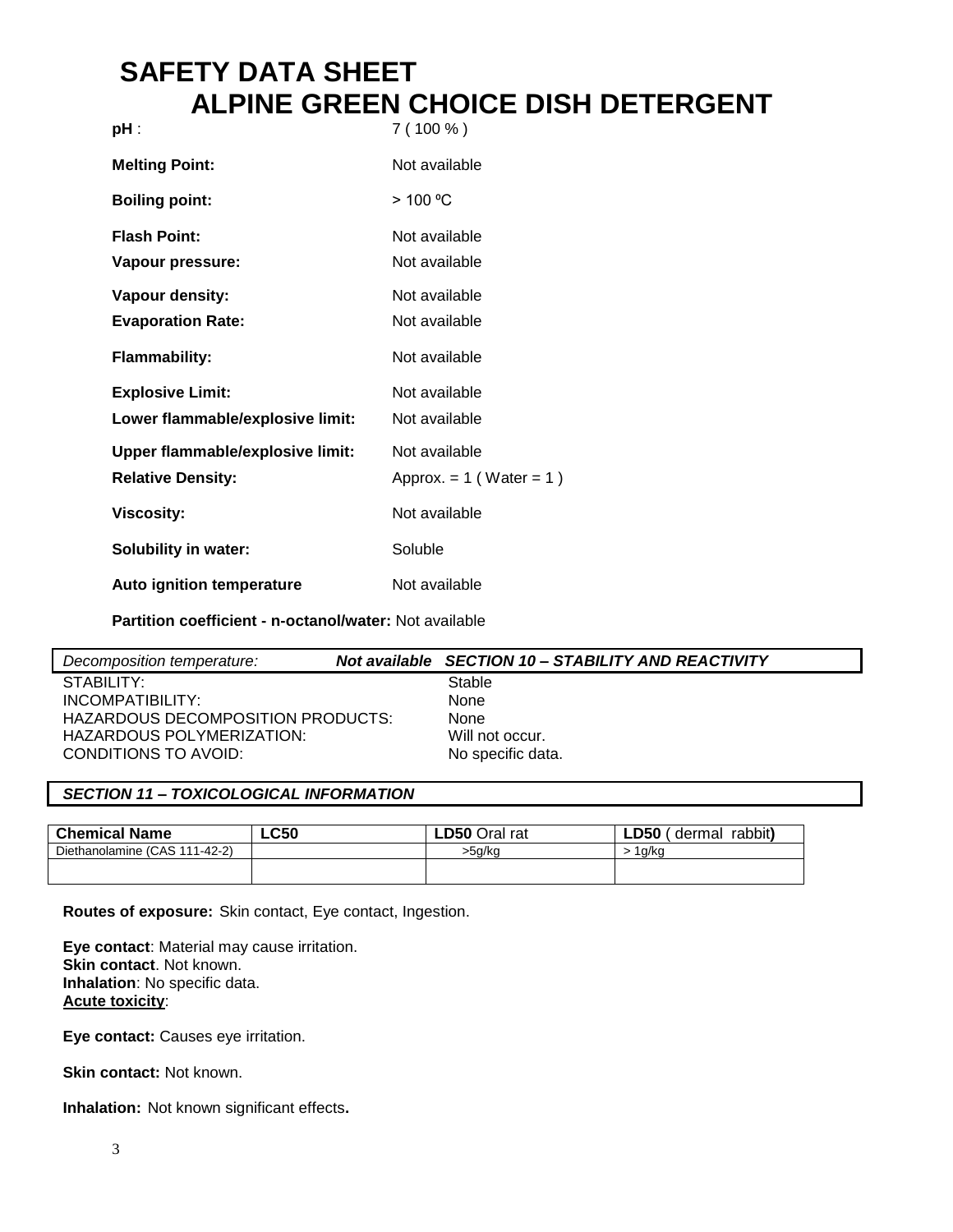## **SAFETY DATA SHEET ALPINE GREEN CHOICE DISH DETERGENT**

| pH :                                                         | $7(100\%)$                                    |
|--------------------------------------------------------------|-----------------------------------------------|
| <b>Melting Point:</b>                                        | Not available                                 |
| <b>Boiling point:</b>                                        | > 100 °C                                      |
| <b>Flash Point:</b><br>Vapour pressure:                      | Not available<br>Not available                |
| Vapour density:<br><b>Evaporation Rate:</b>                  | Not available<br>Not available                |
| <b>Flammability:</b>                                         | Not available                                 |
| <b>Explosive Limit:</b><br>Lower flammable/explosive limit:  | Not available<br>Not available                |
| Upper flammable/explosive limit:<br><b>Relative Density:</b> | Not available<br>Approx. = $1$ (Water = $1$ ) |
| <b>Viscosity:</b>                                            | Not available                                 |
| <b>Solubility in water:</b>                                  | Soluble                                       |
| <b>Auto ignition temperature</b>                             | Not available                                 |

**Partition coefficient - n-octanol/water:** Not available

| Decomposition temperature:        | Not available SECTION 10 - STABILITY AND REACTIVITY |
|-----------------------------------|-----------------------------------------------------|
| STABILITY:                        | Stable                                              |
| INCOMPATIBILITY:                  | None                                                |
| HAZARDOUS DECOMPOSITION PRODUCTS: | None                                                |
| HAZARDOUS POLYMERIZATION:         | Will not occur.                                     |
| CONDITIONS TO AVOID:              | No specific data.                                   |
|                                   |                                                     |

## *SECTION 11 – TOXICOLOGICAL INFORMATION*

| <b>Chemical Name</b>          | <b>LC50</b> | <b>LD50 Oral rat</b> | rabbit)<br>LD50'<br>dermal |
|-------------------------------|-------------|----------------------|----------------------------|
| Diethanolamine (CAS 111-42-2) |             | >5a/ka               | a/ko                       |
|                               |             |                      |                            |
|                               |             |                      |                            |

**Routes of exposure:** Skin contact, Eye contact, Ingestion.

**Eye contact**: Material may cause irritation. **Skin contact**. Not known. **Inhalation**: No specific data. **Acute toxicity**:

**Eye contact:** Causes eye irritation.

**Skin contact: Not known.** 

**Inhalation:** Not known significant effects**.**